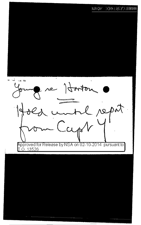## $100287713300$  $\mathrm{H}\mathrm{g}\mathrm{H}\mathrm{H}\mathrm{H}^3$

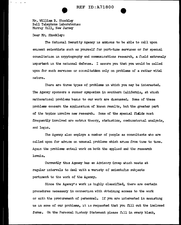Mr. William B. Shockley Bell Telephone Laboratories Murray Hill. New Jersey

Dear Mr. Shockley:

The National Security Agency is anxious to be able to call upon eminent scientists such as yourself for part-time services or for special consultation in cryptography and communications research, a field extremely important in the national defense. I assure you that you would be called upon for such services or consultation only on problems of a rather vital nature.

There are three types of problems in which you may be interested. The Agency sponsors a summer symposium in southern California, at which mathematical problems basic to our work are chscussed. Some of these problems concern the application of known results, but the greater part of the topics involve new research. Some of the special fidlds most frequently involved are matrix theory, statistics, combinatorial analysis, and logic.

The Agency also employs a number of people as consultants who are called upon for advice on unusual problems which arise from time to time. Again the problems entail work on both the applied and the research levels.

Currently tlus Agency has an Advisory Group which meets at regular intervals to deal with a variety of scientific subjects pertinent to the work of the Agency.

Since the Agency's work is highly classified, there are certain procedures necessary in connection with obtaining access to the work or with the procurement of personnel. If you are interested in assisting us in some of our problems, it is requested that you fill out the inclosed forms. On the Personal History Statement please fill in every blank,